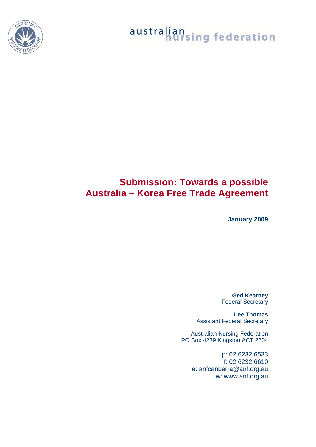

### **Submission: Towards a possible Australia – Korea Free Trade Agreement**

**January 2009** 

**Ged Kearney**  Federal Secretary

**Lee Thomas**  Assistant Federal Secretary

Australian Nursing Federation PO Box 4239 Kingston ACT 2604

> p: 02 6232 6533 f: 02 6232 6610 e: anfcanberra@anf.org.au w: www.anf.org.au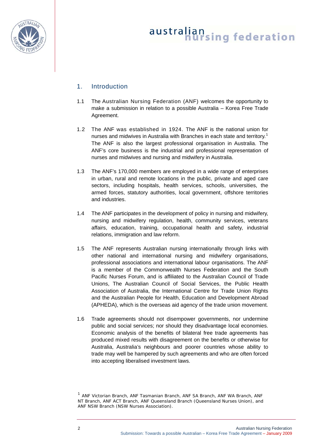

### 1. Introduction

- 1.1 The Australian Nursing Federation (ANF) welcomes the opportunity to make a submission in relation to a possible Australia – Korea Free Trade Agreement.
- 1.2 The ANF was established in 1924. The ANF is the national union for nurses and midwives in Australia with Branches in each state and territory.<sup>[1](#page-1-0)</sup> The ANF is also the largest professional organisation in Australia. The ANF's core business is the industrial and professional representation of nurses and midwives and nursing and midwifery in Australia.
- 1.3 The ANF's 170,000 members are employed in a wide range of enterprises in urban, rural and remote locations in the public, private and aged care sectors, including hospitals, health services, schools, universities, the armed forces, statutory authorities, local government, offshore territories and industries.
- 1.4 The ANF participates in the development of policy in nursing and midwifery, nursing and midwifery regulation, health, community services, veterans affairs, education, training, occupational health and safety, industrial relations, immigration and law reform.
- 1.5 The ANF represents Australian nursing internationally through links with other national and international nursing and midwifery organisations, professional associations and international labour organisations. The ANF is a member of the Commonwealth Nurses Federation and the South Pacific Nurses Forum, and is affiliated to the Australian Council of Trade Unions, The Australian Council of Social Services, the Public Health Association of Australia, the International Centre for Trade Union Rights and the Australian People for Health, Education and Development Abroad (APHEDA), which is the overseas aid agency of the trade union movement.
- 1.6 Trade agreements should not disempower governments, nor undermine public and social services; nor should they disadvantage local economies. Economic analysis of the benefits of bilateral free trade agreements has produced mixed results with disagreement on the benefits or otherwise for Australia, Australia's neighbours and poorer countries whose ability to trade may well be hampered by such agreements and who are often forced into accepting liberalised investment laws.

<span id="page-1-0"></span><sup>&</sup>lt;sup>1</sup> ANF Victorian Branch, ANF Tasmanian Branch, ANF SA Branch, ANF WA Branch, ANF NT Branch, ANF ACT Branch, ANF Queensland Branch (Queensland Nurses Union), and ANF NSW Branch (NSW Nurses Association).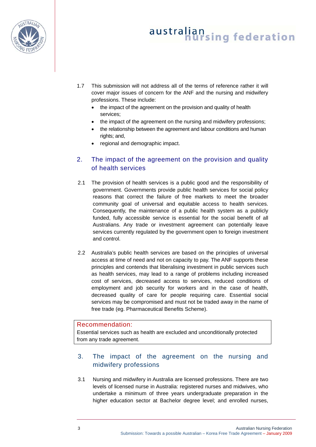

- 1.7 This submission will not address all of the terms of reference rather it will cover major issues of concern for the ANF and the nursing and midwifery professions. These include:
	- the impact of the agreement on the provision and quality of health services;
	- the impact of the agreement on the nursing and midwifery professions;
	- the relationship between the agreement and labour conditions and human rights; and,
	- regional and demographic impact.

### 2. The impact of the agreement on the provision and quality of health services

- 2.1 The provision of health services is a public good and the responsibility of government. Governments provide public health services for social policy reasons that correct the failure of free markets to meet the broader community goal of universal and equitable access to health services. Consequently, the maintenance of a public health system as a publicly funded, fully accessible service is essential for the social benefit of all Australians. Any trade or investment agreement can potentially leave services currently regulated by the government open to foreign investment and control.
- 2.2 Australia's public health services are based on the principles of universal access at time of need and not on capacity to pay. The ANF supports these principles and contends that liberalising investment in public services such as health services, may lead to a range of problems including increased cost of services, decreased access to services, reduced conditions of employment and job security for workers and in the case of health, decreased quality of care for people requiring care. Essential social services may be compromised and must not be traded away in the name of free trade (eg. Pharmaceutical Benefits Scheme).

#### Recommendation:

Essential services such as health are excluded and unconditionally protected from any trade agreement.

### 3. The impact of the agreement on the nursing and midwifery professions

3.1 Nursing and midwifery in Australia are licensed professions. There are two levels of licensed nurse in Australia: registered nurses and midwives, who undertake a minimum of three years undergraduate preparation in the higher education sector at Bachelor degree level; and enrolled nurses,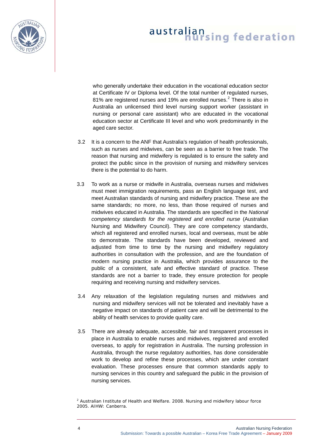<span id="page-3-0"></span>

who generally undertake their education in the vocational education sector at Certificate IV or Diploma level. Of the total number of regulated nurses, 81% are registered nurses and 19% are enrolled nurses.<sup>[2](#page-3-0)</sup> There is also in Australia an unlicensed third level nursing support worker (assistant in nursing or personal care assistant) who are educated in the vocational education sector at Certificate III level and who work predominantly in the aged care sector.

- 3.2 It is a concern to the ANF that Australia's regulation of health professionals, such as nurses and midwives, can be seen as a barrier to free trade. The reason that nursing and midwifery is regulated is to ensure the safety and protect the public since in the provision of nursing and midwifery services there is the potential to do harm.
- 3.3 To work as a nurse or midwife in Australia, overseas nurses and midwives must meet immigration requirements, pass an English language test, and meet Australian standards of nursing and midwifery practice. These are the same standards; no more, no less, than those required of nurses and midwives educated in Australia. The standards are specified in the *National competency standards for the registered and enrolled nurse* (Australian Nursing and Midwifery Council). They are core competency standards, which all registered and enrolled nurses, local and overseas, must be able to demonstrate. The standards have been developed, reviewed and adjusted from time to time by the nursing and midwifery regulatory authorities in consultation with the profession, and are the foundation of modern nursing practice in Australia, which provides assurance to the public of a consistent, safe and effective standard of practice. These standards are not a barrier to trade, they ensure protection for people requiring and receiving nursing and midwifery services.
- 3.4 Any relaxation of the legislation regulating nurses and midwives and nursing and midwifery services will not be tolerated and inevitably have a negative impact on standards of patient care and will be detrimental to the ability of health services to provide quality care.
- 3.5 There are already adequate, accessible, fair and transparent processes in place in Australia to enable nurses and midwives, registered and enrolled overseas, to apply for registration in Australia. The nursing profession in Australia, through the nurse regulatory authorities, has done considerable work to develop and refine these processes, which are under constant evaluation. These processes ensure that common standards apply to nursing services in this country and safeguard the public in the provision of nursing services.

<sup>2</sup> Australian Institute of Health and Welfare. 2008. *Nursing and midwifery labour force 2005.* AIHW: Canberra.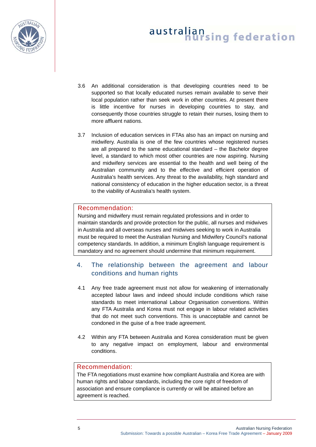

- 3.6 An additional consideration is that developing countries need to be supported so that locally educated nurses remain available to serve their local population rather than seek work in other countries. At present there is little incentive for nurses in developing countries to stay, and consequently those countries struggle to retain their nurses, losing them to more affluent nations.
- 3.7 Inclusion of education services in FTAs also has an impact on nursing and midwifery. Australia is one of the few countries whose registered nurses are all prepared to the same educational standard – the Bachelor degree level, a standard to which most other countries are now aspiring. Nursing and midwifery services are essential to the health and well being of the Australian community and to the effective and efficient operation of Australia's health services. Any threat to the availability, high standard and national consistency of education in the higher education sector, is a threat to the viability of Australia's health system.

#### Recommendation:

Nursing and midwifery must remain regulated professions and in order to maintain standards and provide protection for the public, all nurses and midwives in Australia and all overseas nurses and midwives seeking to work in Australia must be required to meet the Australian Nursing and Midwifery Council's national competency standards. In addition, a minimum English language requirement is mandatory and no agreement should undermine that minimum requirement.

### 4. The relationship between the agreement and labour conditions and human rights

- 4.1 Any free trade agreement must not allow for weakening of internationally accepted labour laws and indeed should include conditions which raise standards to meet international Labour Organisation conventions. Within any FTA Australia and Korea must not engage in labour related activities that do not meet such conventions. This is unacceptable and cannot be condoned in the guise of a free trade agreement.
- 4.2 Within any FTA between Australia and Korea consideration must be given to any negative impact on employment, labour and environmental conditions.

#### Recommendation:

The FTA negotiations must examine how compliant Australia and Korea are with human rights and labour standards, including the core right of freedom of association and ensure compliance is currently or will be attained before an agreement is reached.